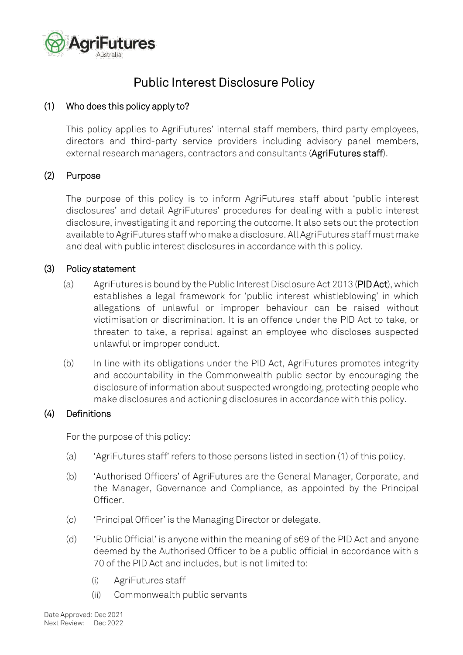

# Public Interest Disclosure Policy

# <span id="page-0-0"></span>(1) Who does this policy apply to?

This policy applies to AgriFutures' internal staff members, third party employees, directors and third-party service providers including advisory panel members, external research managers, contractors and consultants (AgriFutures staff).

# (2) Purpose

The purpose of this policy is to inform AgriFutures staff about 'public interest disclosures' and detail AgriFutures' procedures for dealing with a public interest disclosure, investigating it and reporting the outcome. It also sets out the protection available to AgriFutures staff who make a disclosure. All AgriFutures staff must make and deal with public interest disclosures in accordance with this policy.

# (3) Policy statement

- (a) AgriFutures is bound by the Public Interest Disclosure Act 2013 (PID Act), which establishes a legal framework for 'public interest whistleblowing' in which allegations of unlawful or improper behaviour can be raised without victimisation or discrimination. It is an offence under the PID Act to take, or threaten to take, a reprisal against an employee who discloses suspected unlawful or improper conduct.
- (b) In line with its obligations under the PID Act, AgriFutures promotes integrity and accountability in the Commonwealth public sector by encouraging the disclosure of information about suspected wrongdoing, protecting people who make disclosures and actioning disclosures in accordance with this policy.

# (4) Definitions

For the purpose of this policy:

- (a) 'AgriFutures staff' refers to those persons listed in section [\(1\)](#page-0-0) of this policy.
- (b) 'Authorised Officers' of AgriFutures are the General Manager, Corporate, and the Manager, Governance and Compliance, as appointed by the Principal Officer.
- (c) 'Principal Officer' is the Managing Director or delegate.
- (d) 'Public Official' is anyone within the meaning of s69 of the PID Act and anyone deemed by the Authorised Officer to be a public official in accordance with s 70 of the PID Act and includes, but is not limited to:
	- (i) AgriFutures staff
	- (ii) Commonwealth public servants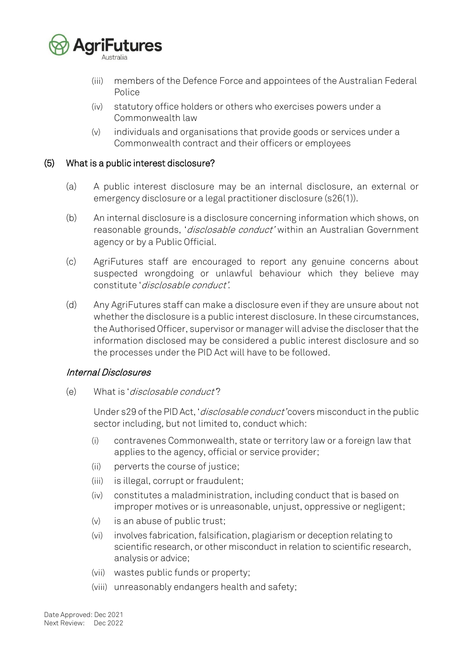

- (iii) members of the Defence Force and appointees of the Australian Federal Police
- (iv) statutory office holders or others who exercises powers under a Commonwealth law
- (v) individuals and organisations that provide goods or services under a Commonwealth contract and their officers or employees

### (5) What is a public interest disclosure?

- (a) A public interest disclosure may be an internal disclosure, an external or emergency disclosure or a legal practitioner disclosure (s26(1)).
- (b) An internal disclosure is a disclosure concerning information which shows, on reasonable grounds, '*disclosable conduct'* within an Australian Government agency or by a Public Official.
- (c) AgriFutures staff are encouraged to report any genuine concerns about suspected wrongdoing or unlawful behaviour which they believe may constitute 'disclosable conduct'.
- (d) Any AgriFutures staff can make a disclosure even if they are unsure about not whether the disclosure is a public interest disclosure. In these circumstances, the Authorised Officer, supervisor or manager will advise the discloser that the information disclosed may be considered a public interest disclosure and so the processes under the PID Act will have to be followed.

### Internal Disclosures

(e) What is 'disclosable conduct'?

Under s29 of the PID Act, '*disclosable conduct'* covers misconduct in the public sector including, but not limited to, conduct which:

- (i) contravenes Commonwealth, state or territory law or a foreign law that applies to the agency, official or service provider;
- (ii) perverts the course of justice;
- (iii) is illegal, corrupt or fraudulent;
- (iv) constitutes a maladministration, including conduct that is based on improper motives or is unreasonable, unjust, oppressive or negligent;
- (v) is an abuse of public trust;
- (vi) involves fabrication, falsification, plagiarism or deception relating to scientific research, or other misconduct in relation to scientific research, analysis or advice;
- (vii) wastes public funds or property;
- (viii) unreasonably endangers health and safety;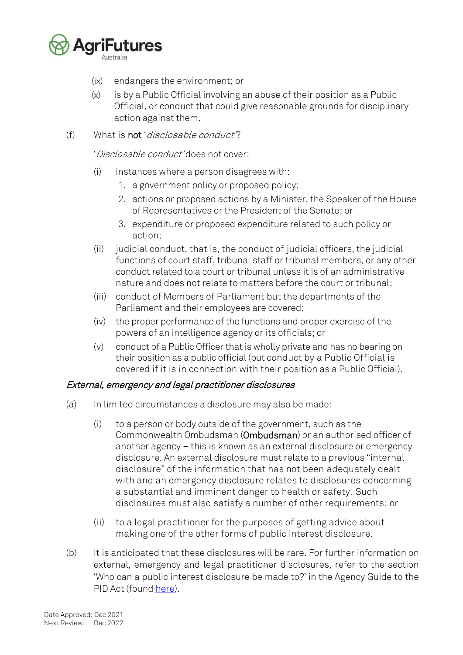

- (ix) endangers the environment; or
- (x) is by a Public Official involving an abuse of their position as a Public Official, or conduct that could give reasonable grounds for disciplinary action against them.
- (f) What is not 'disclosable conduct'?

'Disclosable conduct' does not cover:

- (i) instances where a person disagrees with:
	- 1. a government policy or proposed policy;
	- 2. actions or proposed actions by a Minister, the Speaker of the House of Representatives or the President of the Senate; or
	- 3. expenditure or proposed expenditure related to such policy or action;
- $(i)$  judicial conduct, that is, the conduct of judicial officers, the judicial functions of court staff, tribunal staff or tribunal members, or any other conduct related to a court or tribunal unless it is of an administrative nature and does not relate to matters before the court or tribunal;
- (iii) conduct of Members of Parliament but the departments of the Parliament and their employees are covered;
- (iv) the proper performance of the functions and proper exercise of the powers of an intelligence agency or its officials; or
- (v) conduct of a Public Officer that is wholly private and has no bearing on their position as a public official (but conduct by a Public Official is covered if it is in connection with their position as a Public Official).

### External, emergency and legal practitioner disclosures

- (a) In limited circumstances a disclosure may also be made:
	- (i) to a person or body outside of the government, such as the Commonwealth Ombudsman (Ombudsman) or an authorised officer of another agency – this is known as an external disclosure or emergency disclosure. An external disclosure must relate to a previous "internal disclosure" of the information that has not been adequately dealt with and an emergency disclosure relates to disclosures concerning a substantial and imminent danger to health or safety. Such disclosures must also satisfy a number of other requirements; or
	- (ii) to a legal practitioner for the purposes of getting advice about making one of the other forms of public interest disclosure.
- (b) It is anticipated that these disclosures will be rare. For further information on external, emergency and legal practitioner disclosures, refer to the section 'Who can a public interest disclosure be made to?' in the Agency Guide to the PID Act (found [here\)](https://www.ombudsman.gov.au/__data/assets/pdf_file/0020/37415/Agency_Guide_to_the_PID_Act_Version_2.pdf).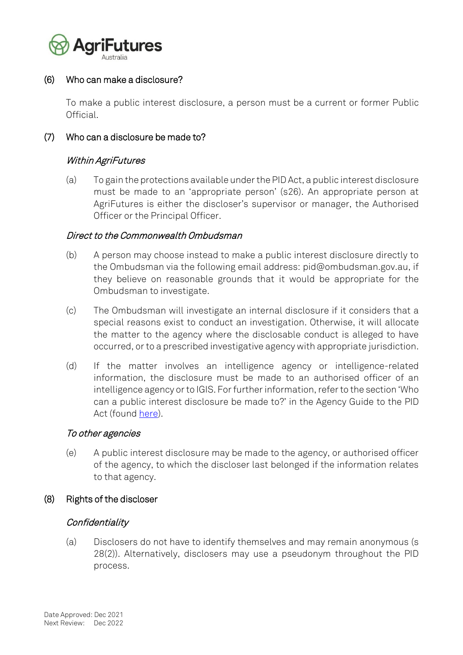

### (6) Who can make a disclosure?

To make a public interest disclosure, a person must be a current or former Public Official.

### <span id="page-3-0"></span>(7) Who can a disclosure be made to?

### Within AgriFutures

(a) To gain the protections available under the PID Act, a public interest disclosure must be made to an 'appropriate person' (s26). An appropriate person at AgriFutures is either the discloser's supervisor or manager, the Authorised Officer or the Principal Officer.

### Direct to the Commonwealth Ombudsman

- <span id="page-3-1"></span>(b) A person may choose instead to make a public interest disclosure directly to the Ombudsman via the following email address: [pid@ombudsman.gov.au,](mailto:pid@ombudsman.gov.au) if they believe on reasonable grounds that it would be appropriate for the Ombudsman to investigate.
- (c) The Ombudsman will investigate an internal disclosure if it considers that a special reasons exist to conduct an investigation. Otherwise, it will allocate the matter to the agency where the disclosable conduct is alleged to have occurred, or to a prescribed investigative agency with appropriate jurisdiction.
- (d) If the matter involves an intelligence agency or intelligence-related information, the disclosure must be made to an authorised officer of an intelligence agency or to IGIS. For further information, referto the section 'Who can a public interest disclosure be made to?' in the Agency Guide to the PID Act (found [here\)](https://www.ombudsman.gov.au/__data/assets/pdf_file/0020/37415/Agency_Guide_to_the_PID_Act_Version_2.pdf).

### To other agencies

(e) A public interest disclosure may be made to the agency, or authorised officer of the agency, to which the discloser last belonged if the information relates to that agency.

### (8) Rights of the discloser

### **Confidentiality**

(a) Disclosers do not have to identify themselves and may remain anonymous (s 28(2)). Alternatively, disclosers may use a pseudonym throughout the PID process.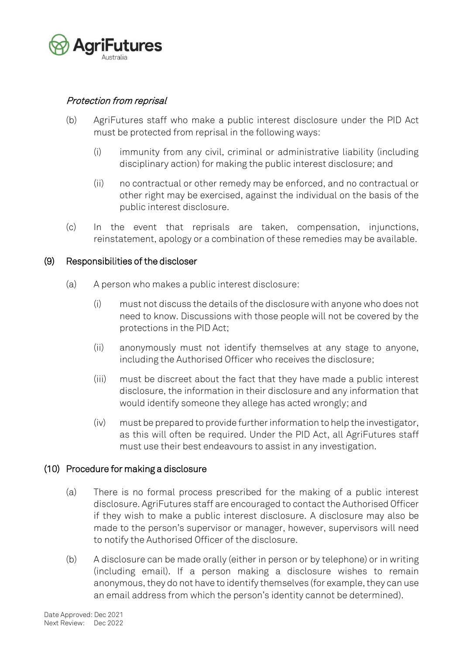

# Protection from reprisal

- (b) AgriFutures staff who make a public interest disclosure under the PID Act must be protected from reprisal in the following ways:
	- (i) immunity from any civil, criminal or administrative liability (including disciplinary action) for making the public interest disclosure; and
	- (ii) no contractual or other remedy may be enforced, and no contractual or other right may be exercised, against the individual on the basis of the public interest disclosure.
- (c) In the event that reprisals are taken, compensation, injunctions, reinstatement, apology or a combination of these remedies may be available.

### (9) Responsibilities of the discloser

- (a) A person who makes a public interest disclosure:
	- (i) must not discuss the details of the disclosure with anyone who does not need to know. Discussions with those people will not be covered by the protections in the PID Act;
	- (ii) anonymously must not identify themselves at any stage to anyone, including the Authorised Officer who receives the disclosure;
	- (iii) must be discreet about the fact that they have made a public interest disclosure, the information in their disclosure and any information that would identify someone they allege has acted wrongly; and
	- (iv) must be prepared to provide further information to help the investigator, as this will often be required. Under the PID Act, all AgriFutures staff must use their best endeavours to assist in any investigation.

# (10) Procedure for making a disclosure

- (a) There is no formal process prescribed for the making of a public interest disclosure. AgriFutures staff are encouraged to contact the Authorised Officer if they wish to make a public interest disclosure. A disclosure may also be made to the person's supervisor or manager, however, supervisors will need to notify the Authorised Officer of the disclosure.
- (b) A disclosure can be made orally (either in person or by telephone) or in writing (including email). If a person making a disclosure wishes to remain anonymous, they do not have to identify themselves (for example, they can use an email address from which the person's identity cannot be determined).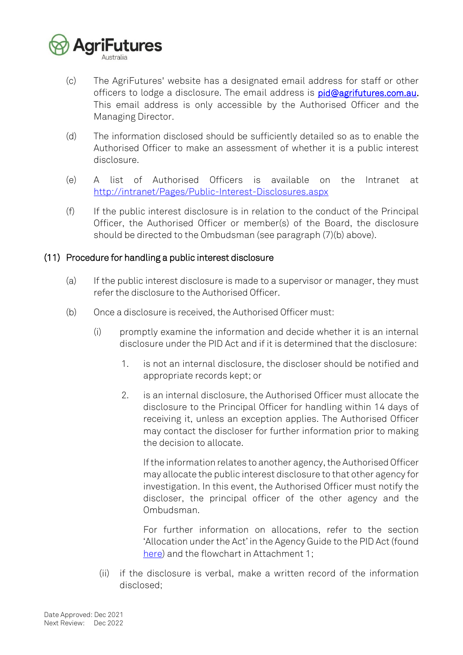

- (c) The AgriFutures' website has a designated email address for staff or other officers to lodge a disclosure. The email address is [pid@agrifutures.com.au.](mailto:pid@agrifutures.com.au) This email address is only accessible by the Authorised Officer and the Managing Director.
- (d) The information disclosed should be sufficiently detailed so as to enable the Authorised Officer to make an assessment of whether it is a public interest disclosure.
- (e) A list of Authorised Officers is available on the Intranet at <http://intranet/Pages/Public-Interest-Disclosures.aspx>
- (f) If the public interest disclosure is in relation to the conduct of the Principal Officer, the Authorised Officer or member(s) of the Board, the disclosure should be directed to the Ombudsman (see paragraph [\(7\)](#page-3-0)[\(b\)](#page-3-1) above).

# (11) Procedure for handling a public interest disclosure

- (a) If the public interest disclosure is made to a supervisor or manager, they must refer the disclosure to the Authorised Officer.
- (b) Once a disclosure is received, the Authorised Officer must:
	- (i) promptly examine the information and decide whether it is an internal disclosure under the PID Act and if it is determined that the disclosure:
		- 1. is not an internal disclosure, the discloser should be notified and appropriate records kept; or
		- 2. is an internal disclosure, the Authorised Officer must allocate the disclosure to the Principal Officer for handling within 14 days of receiving it, unless an exception applies. The Authorised Officer may contact the discloser for further information prior to making the decision to allocate.

If the information relates to another agency, the Authorised Officer may allocate the public interest disclosure to that other agency for investigation. In this event, the Authorised Officer must notify the discloser, the principal officer of the other agency and the Ombudsman.

For further information on allocations, refer to the section 'Allocation under the Act' in the Agency Guide to the PID Act (found [here\)](https://www.ombudsman.gov.au/__data/assets/pdf_file/0020/37415/Agency_Guide_to_the_PID_Act_Version_2.pdf) and the flowchart in Attachment 1;

(ii) if the disclosure is verbal, make a written record of the information disclosed;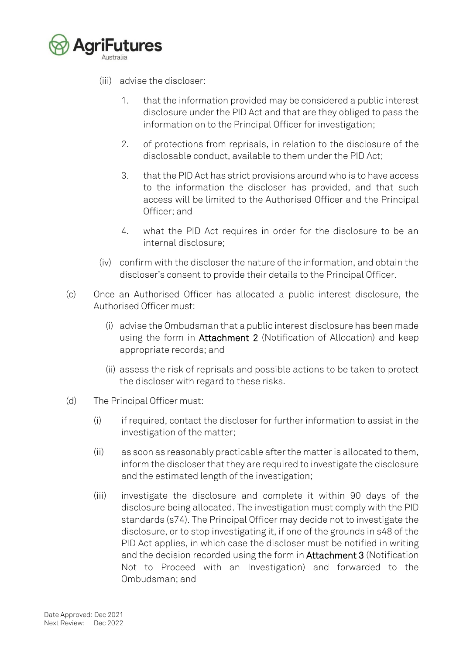

- (iii) advise the discloser:
	- 1. that the information provided may be considered a public interest disclosure under the PID Act and that are they obliged to pass the information on to the Principal Officer for investigation;
	- 2. of protections from reprisals, in relation to the disclosure of the disclosable conduct, available to them under the PID Act;
	- 3. that the PID Act has strict provisions around who is to have access to the information the discloser has provided, and that such access will be limited to the Authorised Officer and the Principal Officer; and
	- 4. what the PID Act requires in order for the disclosure to be an internal disclosure;
- (iv) confirm with the discloser the nature of the information, and obtain the discloser's consent to provide their details to the Principal Officer.
- (c) Once an Authorised Officer has allocated a public interest disclosure, the Authorised Officer must:
	- (i) advise the Ombudsman that a public interest disclosure has been made using the form in Attachment 2 (Notification of Allocation) and keep appropriate records; and
	- (ii) assess the risk of reprisals and possible actions to be taken to protect the discloser with regard to these risks.
- (d) The Principal Officer must:
	- (i) if required, contact the discloser for further information to assist in the investigation of the matter;
	- (ii) as soon as reasonably practicable after the matter is allocated to them, inform the discloser that they are required to investigate the disclosure and the estimated length of the investigation;
	- (iii) investigate the disclosure and complete it within 90 days of the disclosure being allocated. The investigation must comply with the PID standards (s74). The Principal Officer may decide not to investigate the disclosure, or to stop investigating it, if one of the grounds in s48 of the PID Act applies, in which case the discloser must be notified in writing and the decision recorded using the form in Attachment 3 (Notification Not to Proceed with an Investigation) and forwarded to the Ombudsman; and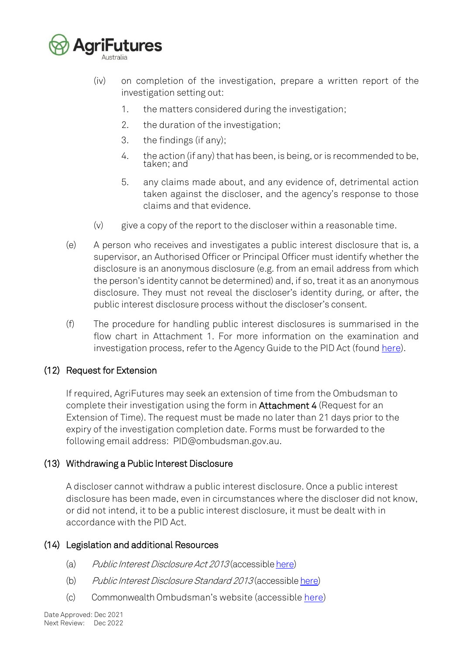

(iv) on completion of the investigation, prepare a written report of the investigation setting out:

- 1. the matters considered during the investigation;
- 2. the duration of the investigation;
- 3. the findings (if any);
- 4. the action (if any) that has been, is being, or is recommended to be, taken; and
- 5. any claims made about, and any evidence of, detrimental action taken against the discloser, and the agency's response to those claims and that evidence.
- (v) give a copy of the report to the discloser within a reasonable time.
- (e) A person who receives and investigates a public interest disclosure that is, a supervisor, an Authorised Officer or Principal Officer must identify whether the disclosure is an anonymous disclosure (e.g. from an email address from which the person's identity cannot be determined) and, if so, treat it as an anonymous disclosure. They must not reveal the discloser's identity during, or after, the public interest disclosure process without the discloser's consent.
- (f) The procedure for handling public interest disclosures is summarised in the flow chart in Attachment 1. For more information on the examination and investigation process, refer to the Agency Guide to the PID Act (found [here\)](https://www.ombudsman.gov.au/__data/assets/pdf_file/0020/37415/Agency_Guide_to_the_PID_Act_Version_2.pdf).

# (12) Request for Extension

If required, AgriFutures may seek an extension of time from the Ombudsman to complete their investigation using the form in Attachment 4 (Request for an Extension of Time). The request must be made no later than 21 days prior to the expiry of the investigation completion date. Forms must be forwarded to the following email address: [PID@ombudsman.gov.au.](mailto:_PID@ombudsman.gov.au)

# (13) Withdrawing a Public Interest Disclosure

A discloser cannot withdraw a public interest disclosure. Once a public interest disclosure has been made, even in circumstances where the discloser did not know, or did not intend, it to be a public interest disclosure, it must be dealt with in accordance with the PID Act.

# (14) Legislation and additional Resources

- (a) Public Interest Disclosure Act 2013 (accessibl[e here\)](https://www.legislation.gov.au/Details/C2019C00026)
- (b) Public Interest Disclosure Standard 2013 (accessibl[e here\)](https://www.legislation.gov.au/Details/F2014C00919)
- (c) Commonwealth Ombudsman's website (accessible [here\)](https://www.ombudsman.gov.au/Our-responsibilities/making-a-disclosure)

Date Approved: Dec 2021 Next Review: Dec 2022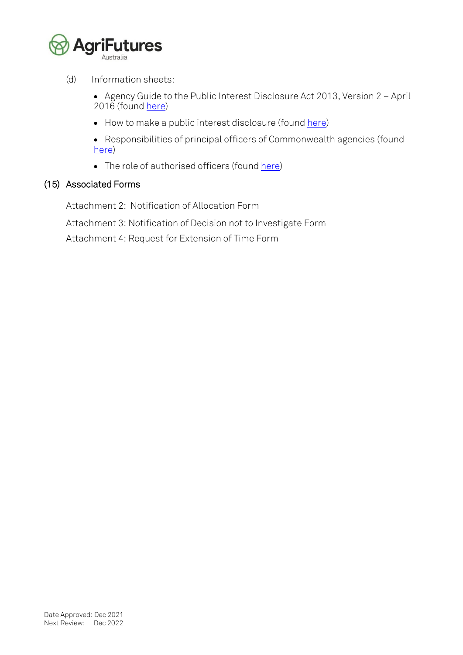

(d) Information sheets:

• Agency Guide to the Public Interest Disclosure Act 2013, Version 2 – April 2016 (found [here\)](https://www.ombudsman.gov.au/__data/assets/pdf_file/0020/37415/Agency_Guide_to_the_PID_Act_Version_2.pdf)

• How to make a public interest disclosure (found [here\)](https://www.ombudsman.gov.au/__data/assets/pdf_file/0030/29874/ombudsman_how_to_make_a_pid_final.pdf)

• Responsibilities of principal officers of Commonwealth agencies (found [here\)](https://www.ombudsman.gov.au/__data/assets/pdf_file/0025/29527/ombudsman_pid_fact_sheetc.pdf)

• The role of authorised officers (foun[d here\)](https://www.ombudsman.gov.au/__data/assets/pdf_file/0014/28013/role_of_authorised_officers.pdf)

### (15) Associated Forms

Attachment 2: Notification of Allocation Form

Attachment 3: Notification of Decision not to Investigate Form

Attachment 4: Request for Extension of Time Form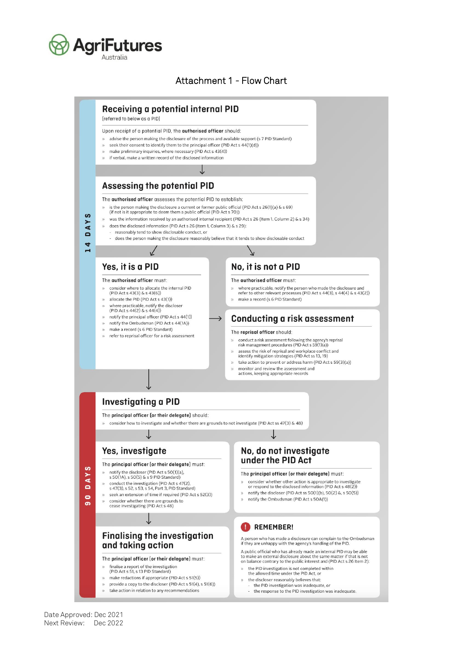

# Attachment 1 - Flow Chart

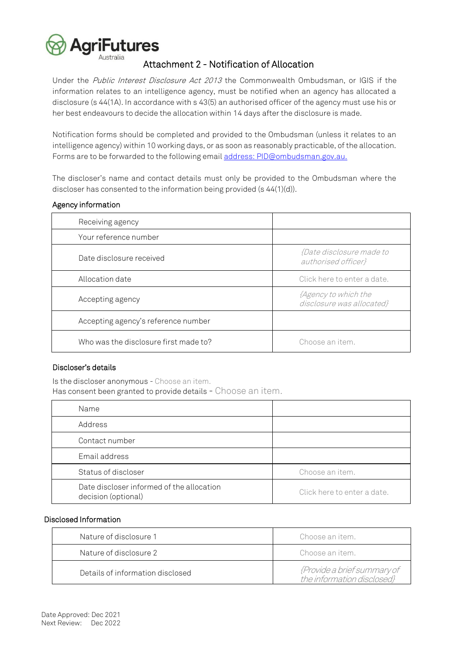

#### Attachment 2 - Notification of Allocation

Under the Public Interest Disclosure Act 2013 the Commonwealth Ombudsman, or IGIS if the information relates to an intelligence agency, must be notified when an agency has allocated a disclosure (s 44(1A). In accordance with s 43(5) an authorised officer of the agency must use his or her best endeavours to decide the allocation within 14 days after the disclosure is made.

Notification forms should be completed and provided to the Ombudsman (unless it relates to an intelligence agency) within 10 working days, or as soon as reasonably practicable, of the allocation. Forms are to be forwarded to the following email [address:](ftp://address:_PID@ombudsman.gov.au/) PID@ombudsman.gov.au.

The discloser's name and contact details must only be provided to the Ombudsman where the discloser has consented to the information being provided (s 44(1)(d)).

| Receiving agency                      |                                                        |
|---------------------------------------|--------------------------------------------------------|
| Your reference number                 |                                                        |
| Date disclosure received              | <i>{Date disclosure made to</i><br>authorised officer} |
| Allocation date                       | Click here to enter a date.                            |
| Accepting agency                      | {Agency to which the<br>disclosure was allocated}      |
| Accepting agency's reference number   |                                                        |
| Who was the disclosure first made to? | Choose an item.                                        |

#### Agency information

#### Discloser's details

Is the discloser anonymous - Choose an item. Has consent been granted to provide details - Choose an item.

| Name                                                             |                             |
|------------------------------------------------------------------|-----------------------------|
| Address                                                          |                             |
| Contact number                                                   |                             |
| Email address                                                    |                             |
| Status of discloser                                              | Choose an item.             |
| Date discloser informed of the allocation<br>decision (optional) | Click here to enter a date. |

#### Disclosed Information

| Nature of disclosure 1           | Choose an item.                                           |
|----------------------------------|-----------------------------------------------------------|
| Nature of disclosure 2           | Choose an item.                                           |
| Details of information disclosed | {Provide a brief summary of<br>the information disclosed} |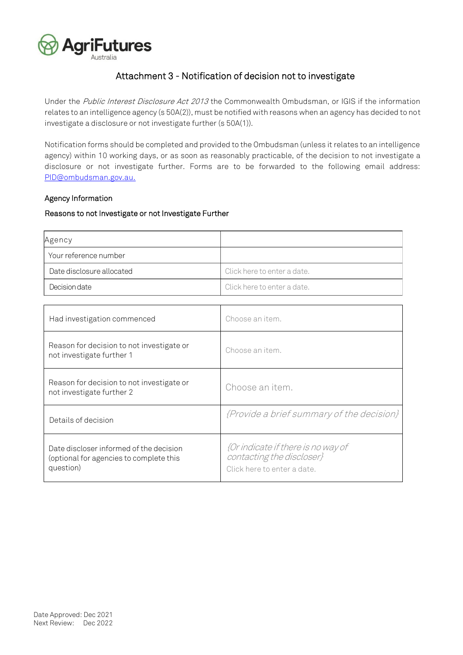

# Attachment 3 - Notification of decision not to investigate

Under the Public Interest Disclosure Act 2013 the Commonwealth Ombudsman, or IGIS if the information relates to an intelligence agency (s 50A(2)), must be notified with reasons when an agency has decided to not investigate a disclosure or not investigate further (s 50A(1)).

Notification forms should be completed and provided to the Ombudsman (unless it relates to an intelligence agency) within 10 working days, or as soon as reasonably practicable, of the decision to not investigate a disclosure or not investigate further. Forms are to be forwarded to the following email address: [PID@ombudsman.gov.au.](mailto:PID@ombudsman.gov.au)

#### Agency Information

#### Reasons to not Investigate or not Investigate Further

| Agency                    |                             |
|---------------------------|-----------------------------|
| Your reference number     |                             |
| Date disclosure allocated | Click here to enter a date. |
| Decision date             | Click here to enter a date. |

| Had investigation commenced                                                                     | Choose an item.                                                                                |
|-------------------------------------------------------------------------------------------------|------------------------------------------------------------------------------------------------|
| Reason for decision to not investigate or<br>not investigate further 1                          | Choose an item.                                                                                |
| Reason for decision to not investigate or<br>not investigate further 2                          | Choose an item.                                                                                |
| Details of decision                                                                             | {Provide a brief summary of the decision}                                                      |
| Date discloser informed of the decision<br>(optional for agencies to complete this<br>question) | {Or indicate if there is no way of<br>contacting the discloser}<br>Click here to enter a date. |